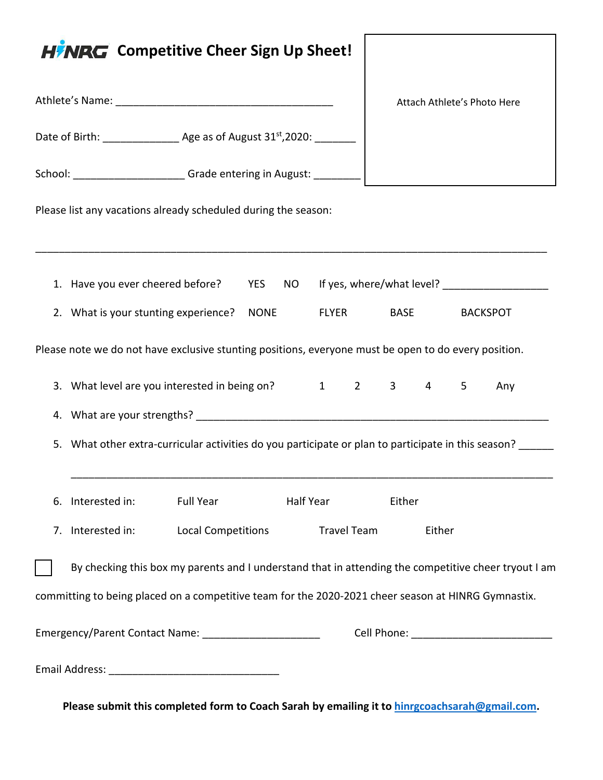| <b>HINRG</b> Competitive Cheer Sign Up Sheet!                                                          |                              |
|--------------------------------------------------------------------------------------------------------|------------------------------|
|                                                                                                        | Attach Athlete's Photo Here  |
| Date of Birth: _________________ Age as of August 31st, 2020: ________                                 |                              |
| School: ________________________Grade entering in August: __________                                   |                              |
| Please list any vacations already scheduled during the season:                                         |                              |
|                                                                                                        |                              |
| 1. Have you ever cheered before? YES NO If yes, where/what level? ______________                       |                              |
| 2. What is your stunting experience? NONE FLYER BASE                                                   | <b>BACKSPOT</b>              |
| Please note we do not have exclusive stunting positions, everyone must be open to do every position.   |                              |
| 3. What level are you interested in being on? 1 2 3 4 5                                                | Any                          |
|                                                                                                        |                              |
| What other extra-curricular activities do you participate or plan to participate in this season?<br>5. |                              |
| Half Year<br>Interested in:<br><b>Full Year</b><br>6.                                                  | Either                       |
| 7. Interested in:<br><b>Local Competitions</b>                                                         | <b>Travel Team</b><br>Either |
| By checking this box my parents and I understand that in attending the competitive cheer tryout I am   |                              |
| committing to being placed on a competitive team for the 2020-2021 cheer season at HINRG Gymnastix.    |                              |
| Emergency/Parent Contact Name: _______________________                                                 |                              |
|                                                                                                        |                              |

**Please submit this completed form to Coach Sarah by emailing it to [hinrgcoachsarah@gmail.com.](mailto:hinrgcoachsarah@gmail.com)**